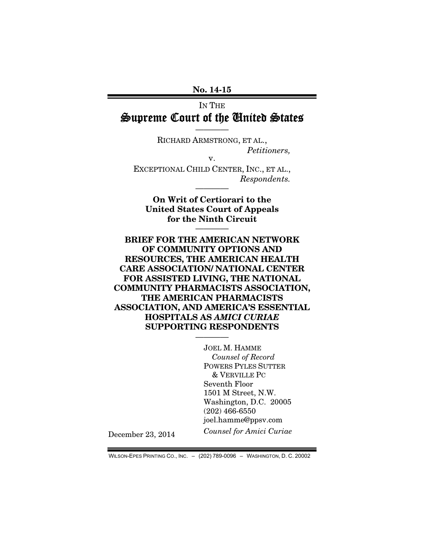No. 14-15

## IN THE Supreme Court of the United States

————

RICHARD ARMSTRONG, ET AL., *Petitioners,*  v.

EXCEPTIONAL CHILD CENTER, INC., ET AL., *Respondents.* 

————

On Writ of Certiorari to the United States Court of Appeals for the Ninth Circuit

————

BRIEF FOR THE AMERICAN NETWORK OF COMMUNITY OPTIONS AND RESOURCES, THE AMERICAN HEALTH CARE ASSOCIATION/ NATIONAL CENTER FOR ASSISTED LIVING, THE NATIONAL COMMUNITY PHARMACISTS ASSOCIATION, THE AMERICAN PHARMACISTS ASSOCIATION, AND AMERICA'S ESSENTIAL HOSPITALS AS *AMICI CURIAE* SUPPORTING RESPONDENTS ————

> JOEL M. HAMME *Counsel of Record*  POWERS PYLES SUTTER & VERVILLE PC Seventh Floor 1501 M Street, N.W. Washington, D.C. 20005 (202) 466-6550 joel.hamme@ppsv.com *Counsel for Amici Curiae*

December 23, 2014

WILSON-EPES PRINTING CO., INC. – (202) 789-0096 – WASHINGTON, D. C. 20002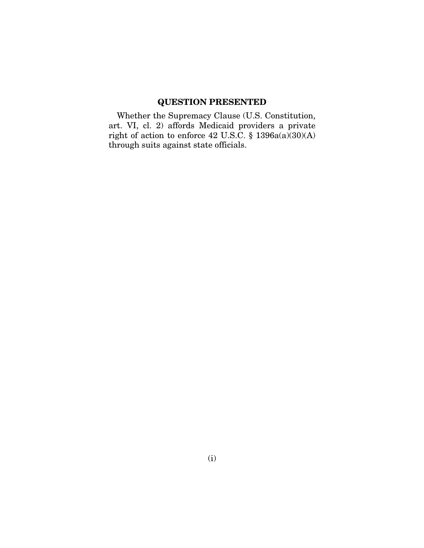### QUESTION PRESENTED

Whether the Supremacy Clause (U.S. Constitution, art. VI, cl. 2) affords Medicaid providers a private right of action to enforce 42 U.S.C. § 1396a(a)(30)(A) through suits against state officials.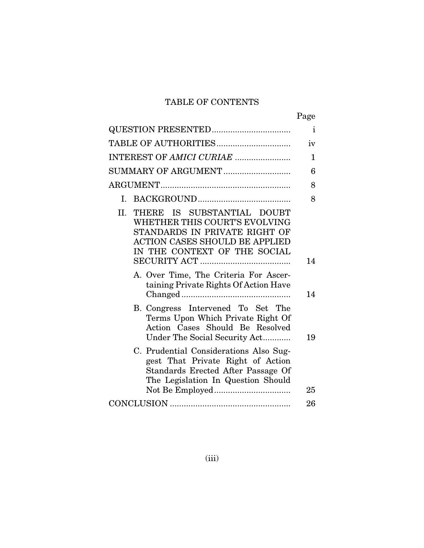# TABLE OF CONTENTS

|                                                                                                                                                                              | Page         |
|------------------------------------------------------------------------------------------------------------------------------------------------------------------------------|--------------|
|                                                                                                                                                                              | $\mathbf{i}$ |
|                                                                                                                                                                              | iv           |
| INTEREST OF AMICI CURIAE                                                                                                                                                     | 1            |
| SUMMARY OF ARGUMENT                                                                                                                                                          | 6            |
|                                                                                                                                                                              | 8            |
| L.                                                                                                                                                                           | 8            |
| THERE IS SUBSTANTIAL DOUBT<br>II.<br>WHETHER THIS COURT'S EVOLVING<br>STANDARDS IN PRIVATE RIGHT OF<br><b>ACTION CASES SHOULD BE APPLIED</b><br>IN THE CONTEXT OF THE SOCIAL | 14           |
| A. Over Time, The Criteria For Ascer-<br>taining Private Rights Of Action Have                                                                                               | 14           |
| B. Congress Intervened To Set The<br>Terms Upon Which Private Right Of<br>Action Cases Should Be Resolved<br>Under The Social Security Act                                   | 19           |
| C. Prudential Considerations Also Sug-<br>gest That Private Right of Action<br>Standards Erected After Passage Of<br>The Legislation In Question Should                      | 25           |
|                                                                                                                                                                              | 26           |
|                                                                                                                                                                              |              |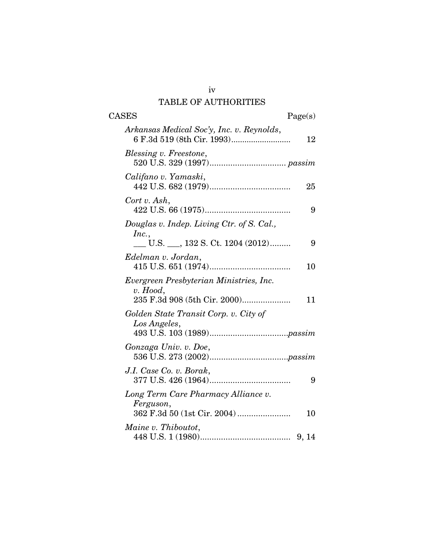# TABLE OF AUTHORITIES

| <b>CASES</b><br>Page(s)                                                               |    |
|---------------------------------------------------------------------------------------|----|
| Arkansas Medical Soc'y, Inc. v. Reynolds,                                             | 12 |
| Blessing v. Freestone,                                                                |    |
| Califano v. Yamaski,                                                                  | 25 |
| Cort v. Ash,                                                                          | 9  |
| Douglas v. Indep. Living Ctr. of S. Cal.,                                             |    |
| Inc.,<br>U.S. $\_\_$ , 132 S. Ct. 1204 (2012)                                         | 9  |
| Edelman v. Jordan,                                                                    | 10 |
| Evergreen Presbyterian Ministries, Inc.<br>$v.$ Hood,<br>235 F.3d 908 (5th Cir. 2000) | 11 |
| Golden State Transit Corp. v. City of<br>Los Angeles,                                 |    |
| Gonzaga Univ. v. Doe,                                                                 |    |
| J.I. Case Co. v. Borak,                                                               | 9  |
| Long Term Care Pharmacy Alliance v.<br>Ferguson,                                      | 10 |
| Maine v. Thiboutot,                                                                   |    |

iv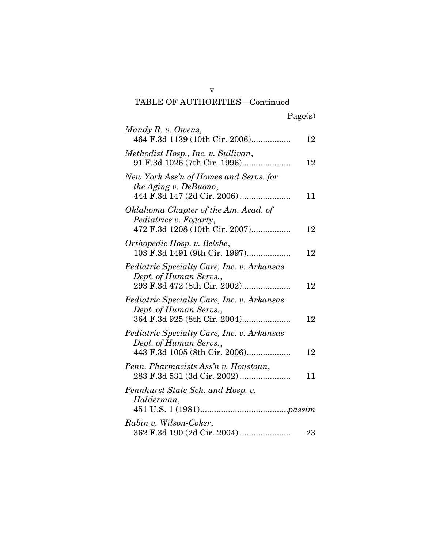v TABLE OF AUTHORITIES—Continued

| Mandy R. v. Owens,                                                                                    |    |
|-------------------------------------------------------------------------------------------------------|----|
| 464 F.3d 1139 (10th Cir. 2006)                                                                        | 12 |
| Methodist Hosp., Inc. v. Sullivan,<br>91 F.3d 1026 (7th Cir. 1996)                                    | 12 |
| New York Ass'n of Homes and Servs. for<br>the Aging v. DeBuono,                                       | 11 |
| Oklahoma Chapter of the Am. Acad. of<br>Pediatrics v. Fogarty,<br>472 F.3d 1208 (10th Cir. 2007)      | 12 |
| Orthopedic Hosp. v. Belshe,<br>103 F.3d 1491 (9th Cir. 1997)                                          | 12 |
| Pediatric Specialty Care, Inc. v. Arkansas<br>Dept. of Human Servs.,                                  | 12 |
| Pediatric Specialty Care, Inc. v. Arkansas<br>Dept. of Human Servs.,<br>364 F.3d 925 (8th Cir. 2004)  | 12 |
| Pediatric Specialty Care, Inc. v. Arkansas<br>Dept. of Human Servs.,<br>443 F.3d 1005 (8th Cir. 2006) | 12 |
| Penn. Pharmacists Ass'n v. Houstoun,<br>283 F.3d 531 (3d Cir. 2002)                                   | 11 |
| Pennhurst State Sch. and Hosp. v.<br>Halderman,                                                       |    |
| Rabin v. Wilson-Coker,<br>362 F.3d 190 (2d Cir. 2004)                                                 | 23 |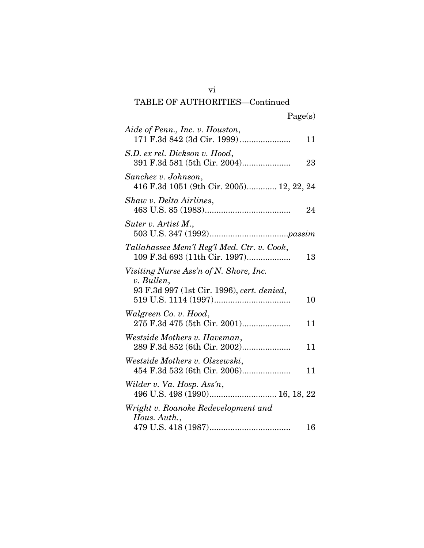## vi TABLE OF AUTHORITIES—Continued

| Aide of Penn., Inc. v. Houston,                                                                    | 11 |
|----------------------------------------------------------------------------------------------------|----|
| S.D. ex rel. Dickson v. Hood,<br>391 F.3d 581 (5th Cir. 2004)                                      | 23 |
| Sanchez v. Johnson,<br>416 F.3d 1051 (9th Cir. 2005) 12, 22, 24                                    |    |
| Shaw v. Delta Airlines,                                                                            | 24 |
| Suter v. Artist M.,                                                                                |    |
| Tallahassee Mem'l Reg'l Med. Ctr. v. Cook,<br>109 F.3d 693 (11th Cir. 1997)                        | 13 |
| Visiting Nurse Ass'n of N. Shore, Inc.<br>v. Bullen,<br>93 F.3d 997 (1st Cir. 1996), cert. denied, | 10 |
| Walgreen Co. v. Hood,<br>275 F.3d 475 (5th Cir. 2001)                                              | 11 |
| Westside Mothers v. Haveman,<br>289 F.3d 852 (6th Cir. 2002)                                       | 11 |
| Westside Mothers v. Olszewski,<br>454 F.3d 532 (6th Cir. 2006)                                     | 11 |
| Wilder v. Va. Hosp. Ass'n,                                                                         |    |
| Wright v. Roanoke Redevelopment and<br>Hous. Auth.,                                                | 16 |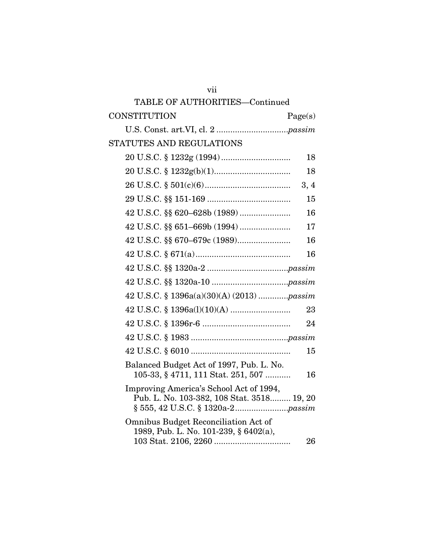| TABLE OF AUTHORITIES-Continued                                                        |
|---------------------------------------------------------------------------------------|
| CONSTITUTION<br>Page(s)                                                               |
|                                                                                       |
| STATUTES AND REGULATIONS                                                              |
| 18                                                                                    |
| 18                                                                                    |
| 3, 4                                                                                  |
| 15                                                                                    |
| 16                                                                                    |
| 17                                                                                    |
| 16                                                                                    |
| 16                                                                                    |
|                                                                                       |
|                                                                                       |
| 42 U.S.C. § 1396a(a)(30)(A) (2013) passim                                             |
| 23                                                                                    |
| 24                                                                                    |
|                                                                                       |
| 15                                                                                    |
| Balanced Budget Act of 1997, Pub. L. No.<br>105-33, § 4711, 111 Stat. 251, 507<br>16  |
| Improving America's School Act of 1994,<br>Pub. L. No. 103-382, 108 Stat. 3518 19, 20 |
| Omnibus Budget Reconciliation Act of<br>1989, Pub. L. No. 101-239, § 6402(a),<br>26   |

vii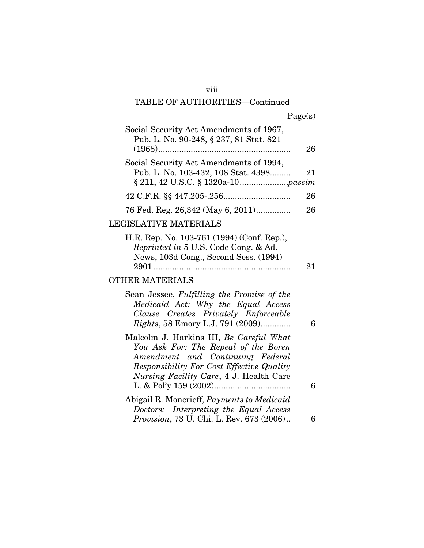## viii

# TABLE OF AUTHORITIES—Continued

|  | Page(s) |
|--|---------|
|  |         |

| Social Security Act Amendments of 1967,<br>Pub. L. No. 90-248, § 237, 81 Stat. 821                                                                                                                          | 26 |
|-------------------------------------------------------------------------------------------------------------------------------------------------------------------------------------------------------------|----|
| Social Security Act Amendments of 1994,<br>Pub. L. No. 103-432, 108 Stat. 4398                                                                                                                              | 21 |
|                                                                                                                                                                                                             | 26 |
| 76 Fed. Reg. 26,342 (May 6, 2011)                                                                                                                                                                           | 26 |
| LEGISLATIVE MATERIALS                                                                                                                                                                                       |    |
| H.R. Rep. No. 103-761 (1994) (Conf. Rep.),<br>Reprinted in 5 U.S. Code Cong. & Ad.<br>News, 103d Cong., Second Sess. (1994)                                                                                 | 21 |
|                                                                                                                                                                                                             |    |
| <b>OTHER MATERIALS</b>                                                                                                                                                                                      |    |
| Sean Jessee, Fulfilling the Promise of the<br>Medicaid Act: Why the Equal Access<br>Clause Creates Privately Enforceable<br><i>Rights</i> , 58 Emory L.J. 791 (2009)                                        | 6  |
| Malcolm J. Harkins III, Be Careful What<br>You Ask For: The Repeal of the Boren<br>Amendment and Continuing Federal<br>Responsibility For Cost Effective Quality<br>Nursing Facility Care, 4 J. Health Care | 6  |
|                                                                                                                                                                                                             |    |
| Abigail R. Moncrieff, Payments to Medicaid<br>Doctors: Interpreting the Equal Access<br>Provision, 73 U. Chi. L. Rev. 673 (2006)                                                                            | 6  |
|                                                                                                                                                                                                             |    |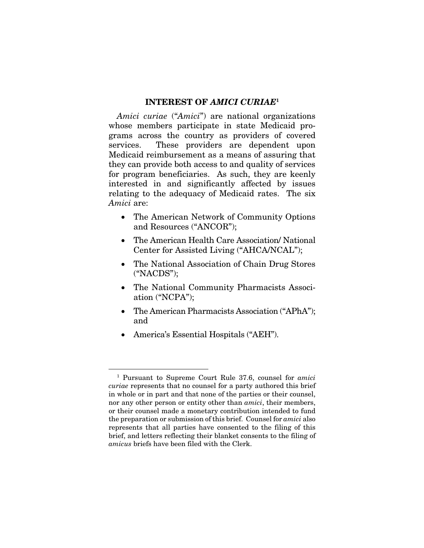#### INTEREST OF *AMICI CURIAE*<sup>1</sup>

*Amici curiae* ("*Amici*") are national organizations whose members participate in state Medicaid programs across the country as providers of covered services. These providers are dependent upon Medicaid reimbursement as a means of assuring that they can provide both access to and quality of services for program beneficiaries. As such, they are keenly interested in and significantly affected by issues relating to the adequacy of Medicaid rates. The six *Amici* are:

- The American Network of Community Options and Resources ("ANCOR");
- The American Health Care Association/ National Center for Assisted Living ("AHCA/NCAL");
- The National Association of Chain Drug Stores ("NACDS");
- The National Community Pharmacists Association ("NCPA");
- The American Pharmacists Association ("APhA"); and
- America's Essential Hospitals ("AEH").

 <sup>1</sup> Pursuant to Supreme Court Rule 37.6, counsel for *amici curiae* represents that no counsel for a party authored this brief in whole or in part and that none of the parties or their counsel, nor any other person or entity other than *amici*, their members, or their counsel made a monetary contribution intended to fund the preparation or submission of this brief. Counsel for *amici* also represents that all parties have consented to the filing of this brief, and letters reflecting their blanket consents to the filing of *amicus* briefs have been filed with the Clerk.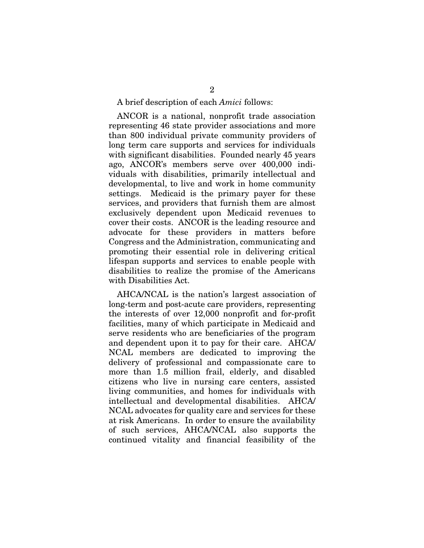A brief description of each *Amici* follows:

ANCOR is a national, nonprofit trade association representing 46 state provider associations and more than 800 individual private community providers of long term care supports and services for individuals with significant disabilities. Founded nearly 45 years ago, ANCOR's members serve over 400,000 individuals with disabilities, primarily intellectual and developmental, to live and work in home community settings. Medicaid is the primary payer for these services, and providers that furnish them are almost exclusively dependent upon Medicaid revenues to cover their costs. ANCOR is the leading resource and advocate for these providers in matters before Congress and the Administration, communicating and promoting their essential role in delivering critical lifespan supports and services to enable people with disabilities to realize the promise of the Americans with Disabilities Act.

AHCA/NCAL is the nation's largest association of long-term and post-acute care providers, representing the interests of over 12,000 nonprofit and for-profit facilities, many of which participate in Medicaid and serve residents who are beneficiaries of the program and dependent upon it to pay for their care. AHCA/ NCAL members are dedicated to improving the delivery of professional and compassionate care to more than 1.5 million frail, elderly, and disabled citizens who live in nursing care centers, assisted living communities, and homes for individuals with intellectual and developmental disabilities. AHCA/ NCAL advocates for quality care and services for these at risk Americans. In order to ensure the availability of such services, AHCA/NCAL also supports the continued vitality and financial feasibility of the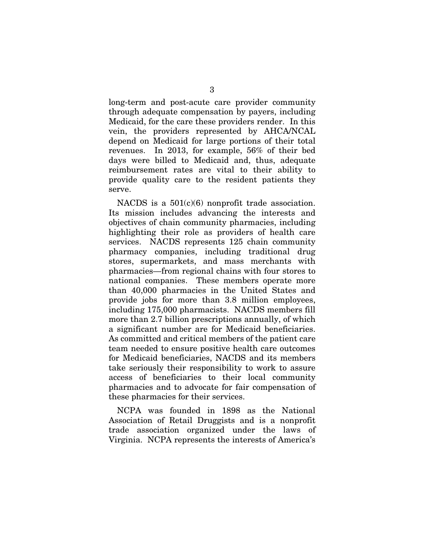long-term and post-acute care provider community through adequate compensation by payers, including Medicaid, for the care these providers render. In this vein, the providers represented by AHCA/NCAL depend on Medicaid for large portions of their total revenues. In 2013, for example, 56% of their bed days were billed to Medicaid and, thus, adequate reimbursement rates are vital to their ability to provide quality care to the resident patients they serve.

NACDS is a  $501(c)(6)$  nonprofit trade association. Its mission includes advancing the interests and objectives of chain community pharmacies, including highlighting their role as providers of health care services. NACDS represents 125 chain community pharmacy companies, including traditional drug stores, supermarkets, and mass merchants with pharmacies—from regional chains with four stores to national companies. These members operate more than 40,000 pharmacies in the United States and provide jobs for more than 3.8 million employees, including 175,000 pharmacists. NACDS members fill more than 2.7 billion prescriptions annually, of which a significant number are for Medicaid beneficiaries. As committed and critical members of the patient care team needed to ensure positive health care outcomes for Medicaid beneficiaries, NACDS and its members take seriously their responsibility to work to assure access of beneficiaries to their local community pharmacies and to advocate for fair compensation of these pharmacies for their services.

NCPA was founded in 1898 as the National Association of Retail Druggists and is a nonprofit trade association organized under the laws of Virginia. NCPA represents the interests of America's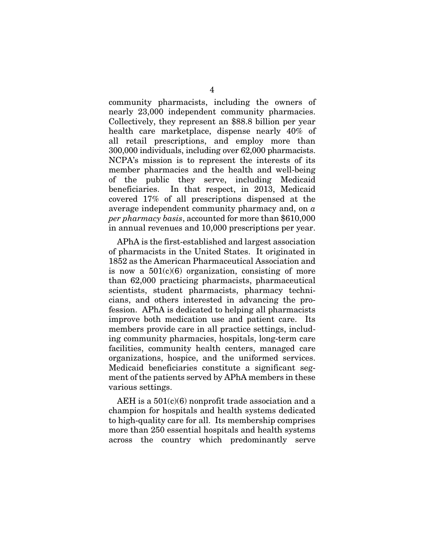community pharmacists, including the owners of nearly 23,000 independent community pharmacies. Collectively, they represent an \$88.8 billion per year health care marketplace, dispense nearly 40% of all retail prescriptions, and employ more than 300,000 individuals, including over 62,000 pharmacists. NCPA's mission is to represent the interests of its member pharmacies and the health and well-being of the public they serve, including Medicaid beneficiaries. In that respect, in 2013, Medicaid covered 17% of all prescriptions dispensed at the average independent community pharmacy and, on *a per pharmacy basis*, accounted for more than \$610,000 in annual revenues and 10,000 prescriptions per year.

APhA is the first-established and largest association of pharmacists in the United States. It originated in 1852 as the American Pharmaceutical Association and is now a  $501(c)(6)$  organization, consisting of more than 62,000 practicing pharmacists, pharmaceutical scientists, student pharmacists, pharmacy technicians, and others interested in advancing the profession. APhA is dedicated to helping all pharmacists improve both medication use and patient care. Its members provide care in all practice settings, including community pharmacies, hospitals, long-term care facilities, community health centers, managed care organizations, hospice, and the uniformed services. Medicaid beneficiaries constitute a significant segment of the patients served by APhA members in these various settings.

AEH is a 501(c)(6) nonprofit trade association and a champion for hospitals and health systems dedicated to high-quality care for all. Its membership comprises more than 250 essential hospitals and health systems across the country which predominantly serve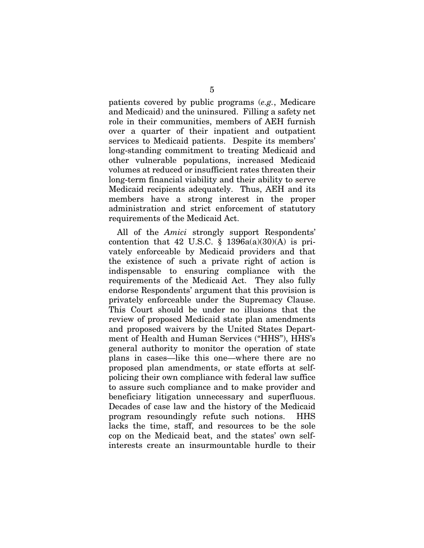patients covered by public programs (*e.g.*, Medicare and Medicaid) and the uninsured. Filling a safety net role in their communities, members of AEH furnish over a quarter of their inpatient and outpatient services to Medicaid patients. Despite its members' long-standing commitment to treating Medicaid and other vulnerable populations, increased Medicaid volumes at reduced or insufficient rates threaten their long-term financial viability and their ability to serve Medicaid recipients adequately. Thus, AEH and its members have a strong interest in the proper administration and strict enforcement of statutory requirements of the Medicaid Act.

All of the *Amici* strongly support Respondents' contention that 42 U.S.C.  $\S$  1396a(a)(30)(A) is privately enforceable by Medicaid providers and that the existence of such a private right of action is indispensable to ensuring compliance with the requirements of the Medicaid Act. They also fully endorse Respondents' argument that this provision is privately enforceable under the Supremacy Clause. This Court should be under no illusions that the review of proposed Medicaid state plan amendments and proposed waivers by the United States Department of Health and Human Services ("HHS"), HHS's general authority to monitor the operation of state plans in cases—like this one—where there are no proposed plan amendments, or state efforts at selfpolicing their own compliance with federal law suffice to assure such compliance and to make provider and beneficiary litigation unnecessary and superfluous. Decades of case law and the history of the Medicaid program resoundingly refute such notions. HHS lacks the time, staff, and resources to be the sole cop on the Medicaid beat, and the states' own selfinterests create an insurmountable hurdle to their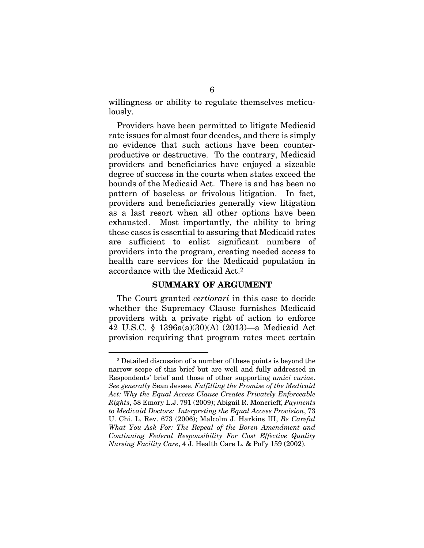willingness or ability to regulate themselves meticulously.

Providers have been permitted to litigate Medicaid rate issues for almost four decades, and there is simply no evidence that such actions have been counterproductive or destructive. To the contrary, Medicaid providers and beneficiaries have enjoyed a sizeable degree of success in the courts when states exceed the bounds of the Medicaid Act. There is and has been no pattern of baseless or frivolous litigation. In fact, providers and beneficiaries generally view litigation as a last resort when all other options have been exhausted. Most importantly, the ability to bring these cases is essential to assuring that Medicaid rates are sufficient to enlist significant numbers of providers into the program, creating needed access to health care services for the Medicaid population in accordance with the Medicaid Act.<sup>2</sup>

#### SUMMARY OF ARGUMENT

The Court granted *certiorari* in this case to decide whether the Supremacy Clause furnishes Medicaid providers with a private right of action to enforce 42 U.S.C. § 1396a(a)(30)(A) (2013)—a Medicaid Act provision requiring that program rates meet certain

 <sup>2</sup> Detailed discussion of a number of these points is beyond the narrow scope of this brief but are well and fully addressed in Respondents' brief and those of other supporting *amici curiae*. *See generally* Sean Jessee, *Fulfilling the Promise of the Medicaid Act: Why the Equal Access Clause Creates Privately Enforceable Rights*, 58 Emory L.J. 791 (2009); Abigail R. Moncrieff, *Payments to Medicaid Doctors: Interpreting the Equal Access Provision*, 73 U. Chi. L. Rev. 673 (2006); Malcolm J. Harkins III, *Be Careful What You Ask For: The Repeal of the Boren Amendment and Continuing Federal Responsibility For Cost Effective Quality Nursing Facility Care*, 4 J. Health Care L. & Pol'y 159 (2002).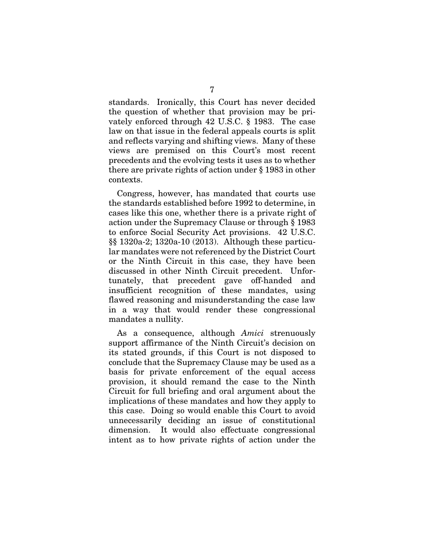standards. Ironically, this Court has never decided the question of whether that provision may be privately enforced through 42 U.S.C. § 1983. The case law on that issue in the federal appeals courts is split and reflects varying and shifting views. Many of these views are premised on this Court's most recent precedents and the evolving tests it uses as to whether there are private rights of action under § 1983 in other contexts.

Congress, however, has mandated that courts use the standards established before 1992 to determine, in cases like this one, whether there is a private right of action under the Supremacy Clause or through § 1983 to enforce Social Security Act provisions. 42 U.S.C. §§ 1320a-2; 1320a-10 (2013). Although these particular mandates were not referenced by the District Court or the Ninth Circuit in this case, they have been discussed in other Ninth Circuit precedent. Unfortunately, that precedent gave off-handed and insufficient recognition of these mandates, using flawed reasoning and misunderstanding the case law in a way that would render these congressional mandates a nullity.

As a consequence, although *Amici* strenuously support affirmance of the Ninth Circuit's decision on its stated grounds, if this Court is not disposed to conclude that the Supremacy Clause may be used as a basis for private enforcement of the equal access provision, it should remand the case to the Ninth Circuit for full briefing and oral argument about the implications of these mandates and how they apply to this case. Doing so would enable this Court to avoid unnecessarily deciding an issue of constitutional dimension. It would also effectuate congressional intent as to how private rights of action under the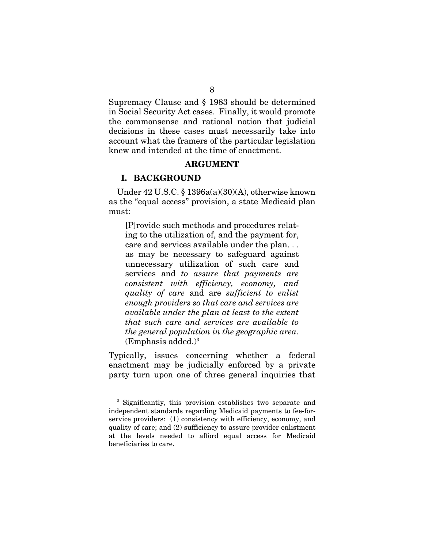Supremacy Clause and § 1983 should be determined in Social Security Act cases. Finally, it would promote the commonsense and rational notion that judicial decisions in these cases must necessarily take into account what the framers of the particular legislation knew and intended at the time of enactment.

#### ARGUMENT

#### I. BACKGROUND

Under  $42$  U.S.C. § 1396a(a)(30)(A), otherwise known as the "equal access" provision, a state Medicaid plan must:

[P]rovide such methods and procedures relating to the utilization of, and the payment for, care and services available under the plan. . . as may be necessary to safeguard against unnecessary utilization of such care and services and *to assure that payments are consistent with efficiency, economy, and quality of care* and are *sufficient to enlist enough providers so that care and services are available under the plan at least to the extent that such care and services are available to the general population in the geographic area*.  $(Emphasis added.)<sup>3</sup>$ 

Typically, issues concerning whether a federal enactment may be judicially enforced by a private party turn upon one of three general inquiries that

 <sup>3</sup> Significantly, this provision establishes two separate and independent standards regarding Medicaid payments to fee-forservice providers: (1) consistency with efficiency, economy, and quality of care; and (2) sufficiency to assure provider enlistment at the levels needed to afford equal access for Medicaid beneficiaries to care.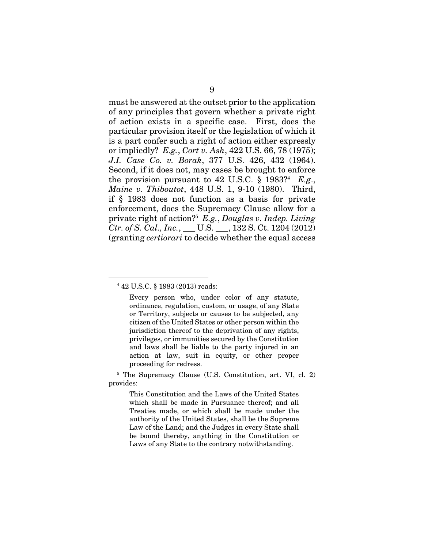must be answered at the outset prior to the application of any principles that govern whether a private right of action exists in a specific case. First, does the particular provision itself or the legislation of which it is a part confer such a right of action either expressly or impliedly? *E.g.*, *Cort v. Ash*, 422 U.S. 66, 78 (1975); *J.I. Case Co. v. Borak*, 377 U.S. 426, 432 (1964). Second, if it does not, may cases be brought to enforce the provision pursuant to  $42 \text{ U.S.C. }$  §  $1983$ <sup>24</sup>  $E.g.,$ *Maine v. Thiboutot*, 448 U.S. 1, 9-10 (1980). Third, if § 1983 does not function as a basis for private enforcement, does the Supremacy Clause allow for a private right of action?5 *E.g.*, *Douglas v. Indep. Living Ctr. of S. Cal., Inc.*, \_\_\_ U.S. \_\_\_, 132 S. Ct. 1204 (2012) (granting *certiorari* to decide whether the equal access

 <sup>4</sup> 42 U.S.C. § 1983 (2013) reads:

Every person who, under color of any statute, ordinance, regulation, custom, or usage, of any State or Territory, subjects or causes to be subjected, any citizen of the United States or other person within the jurisdiction thereof to the deprivation of any rights, privileges, or immunities secured by the Constitution and laws shall be liable to the party injured in an action at law, suit in equity, or other proper proceeding for redress.

<sup>5</sup> The Supremacy Clause (U.S. Constitution, art. VI, cl. 2) provides:

This Constitution and the Laws of the United States which shall be made in Pursuance thereof; and all Treaties made, or which shall be made under the authority of the United States, shall be the Supreme Law of the Land; and the Judges in every State shall be bound thereby, anything in the Constitution or Laws of any State to the contrary notwithstanding.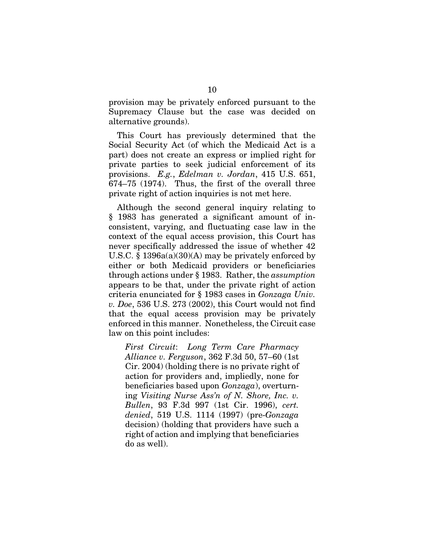provision may be privately enforced pursuant to the Supremacy Clause but the case was decided on alternative grounds).

This Court has previously determined that the Social Security Act (of which the Medicaid Act is a part) does not create an express or implied right for private parties to seek judicial enforcement of its provisions. *E.g.*, *Edelman v. Jordan*, 415 U.S. 651, 674–75 (1974). Thus, the first of the overall three private right of action inquiries is not met here.

Although the second general inquiry relating to § 1983 has generated a significant amount of inconsistent, varying, and fluctuating case law in the context of the equal access provision, this Court has never specifically addressed the issue of whether 42 U.S.C. § 1396a(a)(30)(A) may be privately enforced by either or both Medicaid providers or beneficiaries through actions under § 1983. Rather, the *assumption* appears to be that, under the private right of action criteria enunciated for § 1983 cases in *Gonzaga Univ. v. Doe*, 536 U.S. 273 (2002), this Court would not find that the equal access provision may be privately enforced in this manner. Nonetheless, the Circuit case law on this point includes:

*First Circuit*: *Long Term Care Pharmacy Alliance v. Ferguson*, 362 F.3d 50, 57–60 (1st Cir. 2004) (holding there is no private right of action for providers and, impliedly, none for beneficiaries based upon *Gonzaga*), overturning *Visiting Nurse Ass'n of N. Shore, Inc. v. Bullen*, 93 F.3d 997 (1st Cir. 1996), *cert. denied*, 519 U.S. 1114 (1997) (pre-*Gonzaga* decision) (holding that providers have such a right of action and implying that beneficiaries do as well).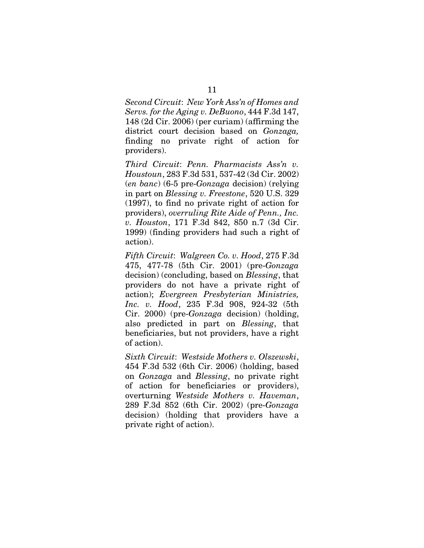*Second Circuit*: *New York Ass'n of Homes and Servs. for the Aging v. DeBuono*, 444 F.3d 147, 148 (2d Cir. 2006) (per curiam) (affirming the district court decision based on *Gonzaga,* finding no private right of action for providers).

*Third Circuit*: *Penn. Pharmacists Ass'n v. Houstoun*, 283 F.3d 531, 537-42 (3d Cir. 2002) (*en banc*) (6-5 pre-*Gonzaga* decision) (relying in part on *Blessing v. Freestone*, 520 U.S. 329 (1997), to find no private right of action for providers), *overruling Rite Aide of Penn., Inc. v. Houston*, 171 F.3d 842, 850 n.7 (3d Cir. 1999) (finding providers had such a right of action).

*Fifth Circuit*: *Walgreen Co. v. Hood*, 275 F.3d 475, 477-78 (5th Cir. 2001) (pre-*Gonzaga*  decision) (concluding, based on *Blessing*, that providers do not have a private right of action); *Evergreen Presbyterian Ministries, Inc. v. Hood*, 235 F.3d 908, 924-32 (5th Cir. 2000) (pre-*Gonzaga* decision) (holding, also predicted in part on *Blessing*, that beneficiaries, but not providers, have a right of action).

*Sixth Circuit*: *Westside Mothers v. Olszewski*, 454 F.3d 532 (6th Cir. 2006) (holding, based on *Gonzaga* and *Blessing*, no private right of action for beneficiaries or providers), overturning *Westside Mothers v. Haveman*, 289 F.3d 852 (6th Cir. 2002) (pre-*Gonzaga* decision) (holding that providers have a private right of action).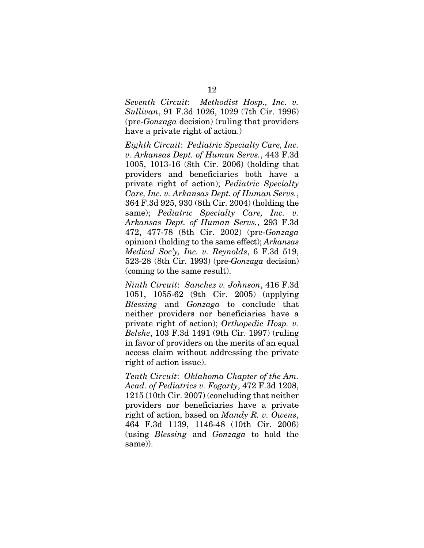*Seventh Circuit*: *Methodist Hosp., Inc. v. Sullivan*, 91 F.3d 1026, 1029 (7th Cir. 1996) (pre-*Gonzaga* decision) (ruling that providers have a private right of action.)

*Eighth Circuit*: *Pediatric Specialty Care, Inc. v. Arkansas Dept. of Human Servs.*, 443 F.3d 1005, 1013-16 (8th Cir. 2006) (holding that providers and beneficiaries both have a private right of action); *Pediatric Specialty Care, Inc. v. Arkansas Dept. of Human Servs.*, 364 F.3d 925, 930 (8th Cir. 2004) (holding the same); *Pediatric Specialty Care, Inc. v. Arkansas Dept. of Human Servs.*, 293 F.3d 472, 477-78 (8th Cir. 2002) (pre-*Gonzaga* opinion) (holding to the same effect); *Arkansas Medical Soc'y, Inc. v. Reynolds*, 6 F.3d 519, 523-28 (8th Cir. 1993) (pre-*Gonzaga* decision) (coming to the same result).

*Ninth Circuit*: *Sanchez v. Johnson*, 416 F.3d 1051, 1055-62 (9th Cir. 2005) (applying *Blessing* and *Gonzaga* to conclude that neither providers nor beneficiaries have a private right of action); *Orthopedic Hosp. v. Belshe*, 103 F.3d 1491 (9th Cir. 1997) (ruling in favor of providers on the merits of an equal access claim without addressing the private right of action issue).

*Tenth Circuit*: *Oklahoma Chapter of the Am. Acad. of Pediatrics v. Fogarty*, 472 F.3d 1208, 1215 (10th Cir. 2007) (concluding that neither providers nor beneficiaries have a private right of action, based on *Mandy R. v. Owens*, 464 F.3d 1139, 1146-48 (10th Cir. 2006) (using *Blessing* and *Gonzaga* to hold the same)).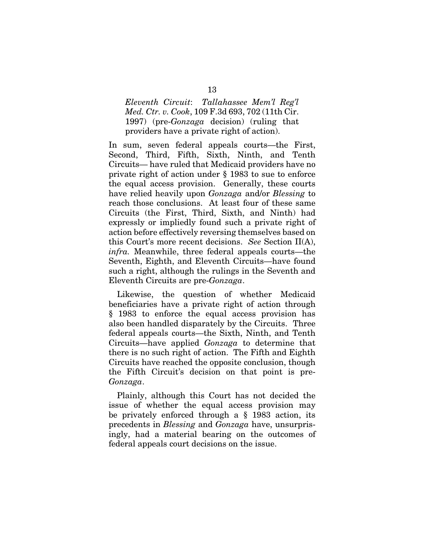*Eleventh Circuit*: *Tallahassee Mem'l Reg'l Med. Ctr. v. Cook*, 109 F.3d 693, 702 (11th Cir. 1997) (pre-*Gonzaga* decision) (ruling that providers have a private right of action).

In sum, seven federal appeals courts—the First, Second, Third, Fifth, Sixth, Ninth, and Tenth Circuits— have ruled that Medicaid providers have no private right of action under § 1983 to sue to enforce the equal access provision. Generally, these courts have relied heavily upon *Gonzaga* and/or *Blessing* to reach those conclusions. At least four of these same Circuits (the First, Third, Sixth, and Ninth) had expressly or impliedly found such a private right of action before effectively reversing themselves based on this Court's more recent decisions. *See* Section II(A), *infra.* Meanwhile, three federal appeals courts—the Seventh, Eighth, and Eleventh Circuits—have found such a right, although the rulings in the Seventh and Eleventh Circuits are pre-*Gonzaga*.

Likewise, the question of whether Medicaid beneficiaries have a private right of action through § 1983 to enforce the equal access provision has also been handled disparately by the Circuits. Three federal appeals courts—the Sixth, Ninth, and Tenth Circuits—have applied *Gonzaga* to determine that there is no such right of action. The Fifth and Eighth Circuits have reached the opposite conclusion, though the Fifth Circuit's decision on that point is pre-*Gonzaga*.

Plainly, although this Court has not decided the issue of whether the equal access provision may be privately enforced through a § 1983 action, its precedents in *Blessing* and *Gonzaga* have, unsurprisingly, had a material bearing on the outcomes of federal appeals court decisions on the issue.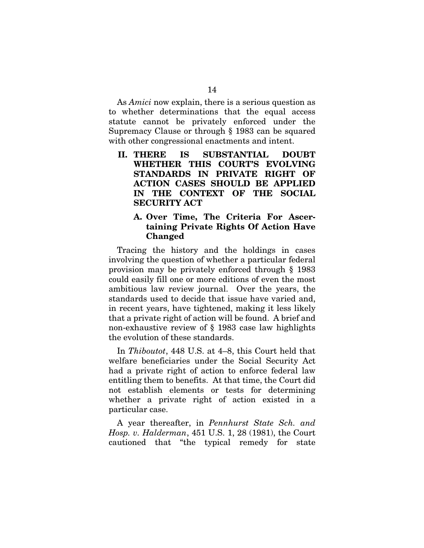As *Amici* now explain, there is a serious question as to whether determinations that the equal access statute cannot be privately enforced under the Supremacy Clause or through § 1983 can be squared with other congressional enactments and intent.

II. THERE IS SUBSTANTIAL DOUBT WHETHER THIS COURT'S EVOLVING STANDARDS IN PRIVATE RIGHT OF ACTION CASES SHOULD BE APPLIED IN THE CONTEXT OF THE SOCIAL SECURITY ACT

#### A. Over Time, The Criteria For Ascertaining Private Rights Of Action Have Changed

Tracing the history and the holdings in cases involving the question of whether a particular federal provision may be privately enforced through § 1983 could easily fill one or more editions of even the most ambitious law review journal. Over the years, the standards used to decide that issue have varied and, in recent years, have tightened, making it less likely that a private right of action will be found. A brief and non-exhaustive review of § 1983 case law highlights the evolution of these standards.

In *Thiboutot*, 448 U.S. at 4–8, this Court held that welfare beneficiaries under the Social Security Act had a private right of action to enforce federal law entitling them to benefits. At that time, the Court did not establish elements or tests for determining whether a private right of action existed in a particular case.

A year thereafter, in *Pennhurst State Sch. and Hosp. v. Halderman*, 451 U.S. 1, 28 (1981), the Court cautioned that "the typical remedy for state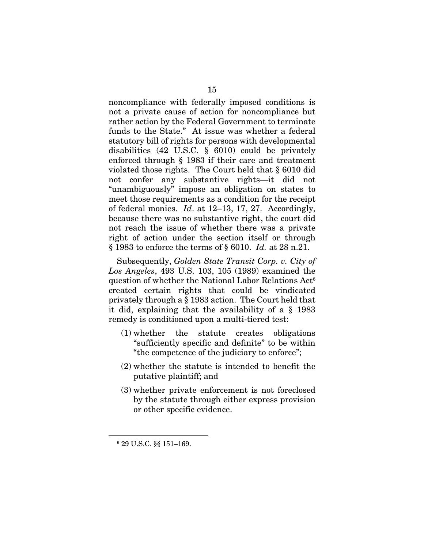noncompliance with federally imposed conditions is not a private cause of action for noncompliance but rather action by the Federal Government to terminate funds to the State." At issue was whether a federal statutory bill of rights for persons with developmental disabilities (42 U.S.C. § 6010) could be privately enforced through § 1983 if their care and treatment violated those rights. The Court held that § 6010 did not confer any substantive rights—it did not "unambiguously" impose an obligation on states to meet those requirements as a condition for the receipt of federal monies. *Id*. at 12–13, 17, 27. Accordingly, because there was no substantive right, the court did not reach the issue of whether there was a private right of action under the section itself or through § 1983 to enforce the terms of § 6010. *Id.* at 28 n.21.

Subsequently, *Golden State Transit Corp. v. City of Los Angeles*, 493 U.S. 103, 105 (1989) examined the question of whether the National Labor Relations Act6 created certain rights that could be vindicated privately through a § 1983 action. The Court held that it did, explaining that the availability of a § 1983 remedy is conditioned upon a multi-tiered test:

- (1) whether the statute creates obligations "sufficiently specific and definite" to be within "the competence of the judiciary to enforce";
- (2) whether the statute is intended to benefit the putative plaintiff; and
- (3) whether private enforcement is not foreclosed by the statute through either express provision or other specific evidence.

 <sup>6</sup> 29 U.S.C. §§ 151–169.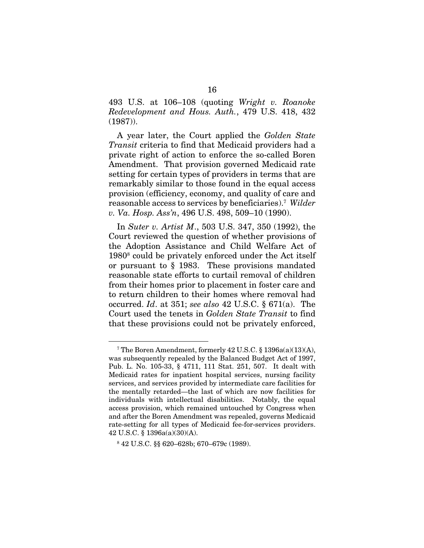493 U.S. at 106–108 (quoting *Wright v. Roanoke Redevelopment and Hous. Auth.*, 479 U.S. 418, 432 (1987)).

A year later, the Court applied the *Golden State Transit* criteria to find that Medicaid providers had a private right of action to enforce the so-called Boren Amendment. That provision governed Medicaid rate setting for certain types of providers in terms that are remarkably similar to those found in the equal access provision (efficiency, economy, and quality of care and reasonable access to services by beneficiaries).7 *Wilder v. Va. Hosp. Ass'n*, 496 U.S. 498, 509–10 (1990).

In *Suter v. Artist M*., 503 U.S. 347, 350 (1992), the Court reviewed the question of whether provisions of the Adoption Assistance and Child Welfare Act of 19808 could be privately enforced under the Act itself or pursuant to § 1983. These provisions mandated reasonable state efforts to curtail removal of children from their homes prior to placement in foster care and to return children to their homes where removal had occurred. *Id*. at 351; *see also* 42 U.S.C. § 671(a). The Court used the tenets in *Golden State Transit* to find that these provisions could not be privately enforced,

 <sup>7</sup> The Boren Amendment, formerly 42 U.S.C. § 1396a(a)(13)(A), was subsequently repealed by the Balanced Budget Act of 1997, Pub. L. No. 105-33, § 4711, 111 Stat. 251, 507. It dealt with Medicaid rates for inpatient hospital services, nursing facility services, and services provided by intermediate care facilities for the mentally retarded—the last of which are now facilities for individuals with intellectual disabilities. Notably, the equal access provision, which remained untouched by Congress when and after the Boren Amendment was repealed, governs Medicaid rate-setting for all types of Medicaid fee-for-services providers. 42 U.S.C. § 1396a(a)(30)(A).

<sup>8</sup> 42 U.S.C. §§ 620–628b; 670–679c (1989).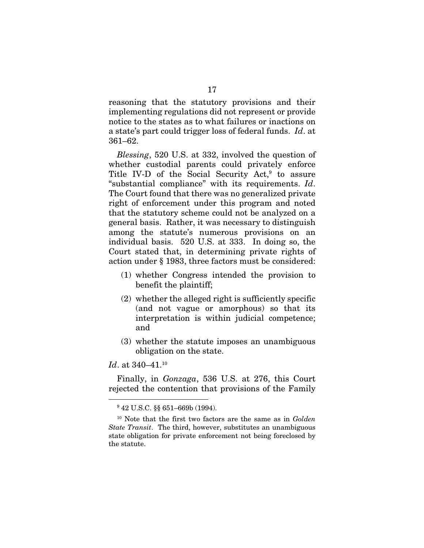reasoning that the statutory provisions and their implementing regulations did not represent or provide notice to the states as to what failures or inactions on a state's part could trigger loss of federal funds. *Id*. at 361–62.

*Blessing*, 520 U.S. at 332, involved the question of whether custodial parents could privately enforce Title IV-D of the Social Security  $Act<sup>9</sup>$  to assure "substantial compliance" with its requirements. *Id*. The Court found that there was no generalized private right of enforcement under this program and noted that the statutory scheme could not be analyzed on a general basis. Rather, it was necessary to distinguish among the statute's numerous provisions on an individual basis. 520 U.S. at 333. In doing so, the Court stated that, in determining private rights of action under § 1983, three factors must be considered:

- (1) whether Congress intended the provision to benefit the plaintiff;
- (2) whether the alleged right is sufficiently specific (and not vague or amorphous) so that its interpretation is within judicial competence; and
- (3) whether the statute imposes an unambiguous obligation on the state.

*Id.* at 340–41.<sup>10</sup>

Finally, in *Gonzaga*, 536 U.S. at 276, this Court rejected the contention that provisions of the Family

 <sup>9</sup> 42 U.S.C. §§ 651–669b (1994).

<sup>10</sup> Note that the first two factors are the same as in *Golden State Transit*. The third, however, substitutes an unambiguous state obligation for private enforcement not being foreclosed by the statute.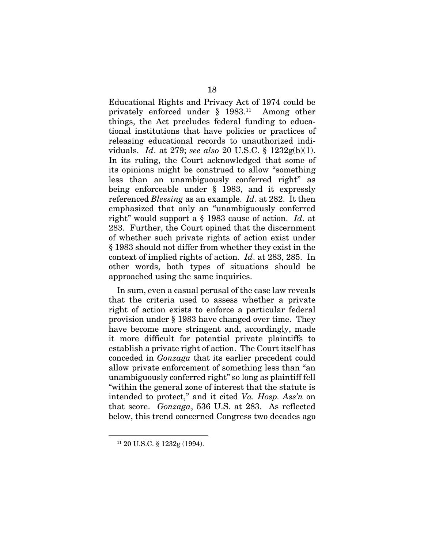Educational Rights and Privacy Act of 1974 could be privately enforced under § 1983.11 Among other things, the Act precludes federal funding to educational institutions that have policies or practices of releasing educational records to unauthorized individuals. *Id*. at 279; *see also* 20 U.S.C. § 1232g(b)(1). In its ruling, the Court acknowledged that some of its opinions might be construed to allow "something less than an unambiguously conferred right" as being enforceable under § 1983, and it expressly referenced *Blessing* as an example. *Id*. at 282. It then emphasized that only an "unambiguously conferred right" would support a § 1983 cause of action. *Id*. at 283. Further, the Court opined that the discernment of whether such private rights of action exist under § 1983 should not differ from whether they exist in the context of implied rights of action. *Id*. at 283, 285. In other words, both types of situations should be approached using the same inquiries.

In sum, even a casual perusal of the case law reveals that the criteria used to assess whether a private right of action exists to enforce a particular federal provision under § 1983 have changed over time. They have become more stringent and, accordingly, made it more difficult for potential private plaintiffs to establish a private right of action. The Court itself has conceded in *Gonzaga* that its earlier precedent could allow private enforcement of something less than "an unambiguously conferred right" so long as plaintiff fell "within the general zone of interest that the statute is intended to protect," and it cited *Va. Hosp. Ass'n* on that score. *Gonzaga*, 536 U.S. at 283. As reflected below, this trend concerned Congress two decades ago

 <sup>11 20</sup> U.S.C. § 1232g (1994).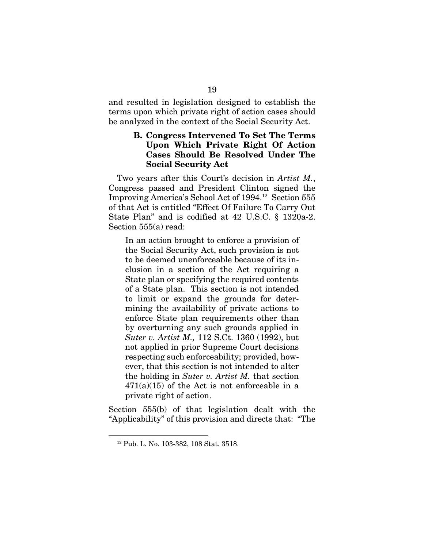and resulted in legislation designed to establish the terms upon which private right of action cases should be analyzed in the context of the Social Security Act.

### B. Congress Intervened To Set The Terms Upon Which Private Right Of Action Cases Should Be Resolved Under The Social Security Act

Two years after this Court's decision in *Artist M.*, Congress passed and President Clinton signed the Improving America's School Act of 1994.12 Section 555 of that Act is entitled "Effect Of Failure To Carry Out State Plan" and is codified at 42 U.S.C. § 1320a-2. Section 555(a) read:

In an action brought to enforce a provision of the Social Security Act, such provision is not to be deemed unenforceable because of its inclusion in a section of the Act requiring a State plan or specifying the required contents of a State plan. This section is not intended to limit or expand the grounds for determining the availability of private actions to enforce State plan requirements other than by overturning any such grounds applied in *Suter v. Artist M.,* 112 S.Ct. 1360 (1992), but not applied in prior Supreme Court decisions respecting such enforceability; provided, however, that this section is not intended to alter the holding in *Suter v. Artist M.* that section  $471(a)(15)$  of the Act is not enforceable in a private right of action.

Section 555(b) of that legislation dealt with the "Applicability" of this provision and directs that: "The

 <sup>12</sup> Pub. L. No. 103-382, 108 Stat. 3518.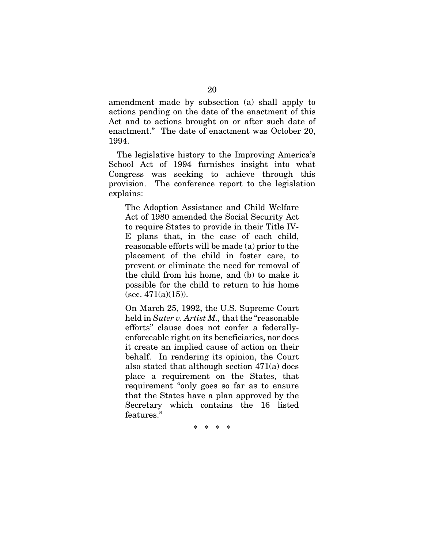amendment made by subsection (a) shall apply to actions pending on the date of the enactment of this Act and to actions brought on or after such date of enactment." The date of enactment was October 20, 1994.

The legislative history to the Improving America's School Act of 1994 furnishes insight into what Congress was seeking to achieve through this provision. The conference report to the legislation explains:

The Adoption Assistance and Child Welfare Act of 1980 amended the Social Security Act to require States to provide in their Title IV-E plans that, in the case of each child, reasonable efforts will be made (a) prior to the placement of the child in foster care, to prevent or eliminate the need for removal of the child from his home, and (b) to make it possible for the child to return to his home  $($ sec. 471 $(a)(15)$ ).

On March 25, 1992, the U.S. Supreme Court held in *Suter v. Artist M.,* that the "reasonable efforts" clause does not confer a federallyenforceable right on its beneficiaries, nor does it create an implied cause of action on their behalf. In rendering its opinion, the Court also stated that although section 471(a) does place a requirement on the States, that requirement "only goes so far as to ensure that the States have a plan approved by the Secretary which contains the 16 listed features."

\* \* \* \*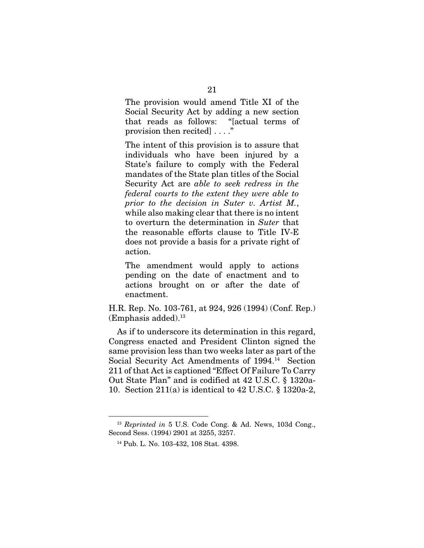The provision would amend Title XI of the Social Security Act by adding a new section that reads as follows: "[actual terms of provision then recited] . . . ."

The intent of this provision is to assure that individuals who have been injured by a State's failure to comply with the Federal mandates of the State plan titles of the Social Security Act are *able to seek redress in the federal courts to the extent they were able to prior to the decision in Suter v. Artist M.*, while also making clear that there is no intent to overturn the determination in *Suter* that the reasonable efforts clause to Title IV-E does not provide a basis for a private right of action.

The amendment would apply to actions pending on the date of enactment and to actions brought on or after the date of enactment.

H.R. Rep. No. 103-761, at 924, 926 (1994) (Conf. Rep.)  $(Emphasis added).<sup>13</sup>$ 

As if to underscore its determination in this regard, Congress enacted and President Clinton signed the same provision less than two weeks later as part of the Social Security Act Amendments of 1994.14 Section 211 of that Act is captioned "Effect Of Failure To Carry Out State Plan" and is codified at 42 U.S.C. § 1320a-10. Section 211(a) is identical to 42 U.S.C. § 1320a-2,

 <sup>13</sup> *Reprinted in* 5 U.S. Code Cong. & Ad. News, 103d Cong., Second Sess. (1994) 2901 at 3255, 3257.

<sup>14</sup> Pub. L. No. 103-432, 108 Stat. 4398.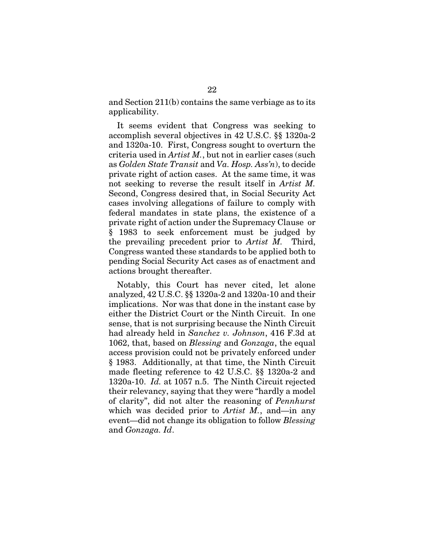and Section 211(b) contains the same verbiage as to its applicability.

It seems evident that Congress was seeking to accomplish several objectives in 42 U.S.C. §§ 1320a-2 and 1320a-10. First, Congress sought to overturn the criteria used in *Artist M.*, but not in earlier cases (such as *Golden State Transit* and *Va. Hosp. Ass'n*), to decide private right of action cases. At the same time, it was not seeking to reverse the result itself in *Artist M.* Second, Congress desired that, in Social Security Act cases involving allegations of failure to comply with federal mandates in state plans, the existence of a private right of action under the Supremacy Clause or § 1983 to seek enforcement must be judged by the prevailing precedent prior to *Artist M.* Third, Congress wanted these standards to be applied both to pending Social Security Act cases as of enactment and actions brought thereafter.

Notably, this Court has never cited, let alone analyzed, 42 U.S.C. §§ 1320a-2 and 1320a-10 and their implications. Nor was that done in the instant case by either the District Court or the Ninth Circuit. In one sense, that is not surprising because the Ninth Circuit had already held in *Sanchez v. Johnson*, 416 F.3d at 1062, that, based on *Blessing* and *Gonzaga*, the equal access provision could not be privately enforced under § 1983. Additionally, at that time, the Ninth Circuit made fleeting reference to 42 U.S.C. §§ 1320a-2 and 1320a-10. *Id.* at 1057 n.5. The Ninth Circuit rejected their relevancy, saying that they were "hardly a model of clarity", did not alter the reasoning of *Pennhurst*  which was decided prior to *Artist M.*, and—in any event—did not change its obligation to follow *Blessing*  and *Gonzaga. Id*.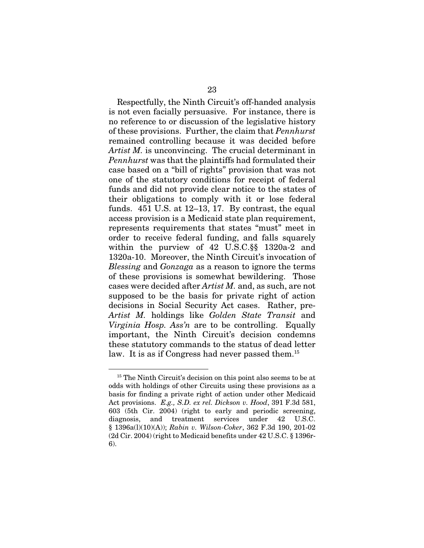Respectfully, the Ninth Circuit's off-handed analysis is not even facially persuasive. For instance, there is no reference to or discussion of the legislative history of these provisions. Further, the claim that *Pennhurst* remained controlling because it was decided before *Artist M.* is unconvincing. The crucial determinant in *Pennhurst* was that the plaintiffs had formulated their case based on a "bill of rights" provision that was not one of the statutory conditions for receipt of federal funds and did not provide clear notice to the states of their obligations to comply with it or lose federal funds. 451 U.S. at 12–13, 17. By contrast, the equal access provision is a Medicaid state plan requirement, represents requirements that states "must" meet in order to receive federal funding, and falls squarely within the purview of 42 U.S.C.§§ 1320a-2 and 1320a-10. Moreover, the Ninth Circuit's invocation of *Blessing* and *Gonzaga* as a reason to ignore the terms of these provisions is somewhat bewildering. Those cases were decided after *Artist M.* and, as such, are not supposed to be the basis for private right of action decisions in Social Security Act cases. Rather, pre-*Artist M.* holdings like *Golden State Transit* and *Virginia Hosp. Ass'n* are to be controlling. Equally important, the Ninth Circuit's decision condemns these statutory commands to the status of dead letter law. It is as if Congress had never passed them.15

<sup>&</sup>lt;sup>15</sup> The Ninth Circuit's decision on this point also seems to be at odds with holdings of other Circuits using these provisions as a basis for finding a private right of action under other Medicaid Act provisions. *E.g., S.D. ex rel. Dickson v. Hood*, 391 F.3d 581, 603 (5th Cir. 2004) (right to early and periodic screening, diagnosis, and treatment services under 42 U.S.C. § 1396a(l)(10)(A)); *Rabin v. Wilson-Coker*, 362 F.3d 190, 201-02 (2d Cir. 2004) (right to Medicaid benefits under 42 U.S.C. § 1396r-6).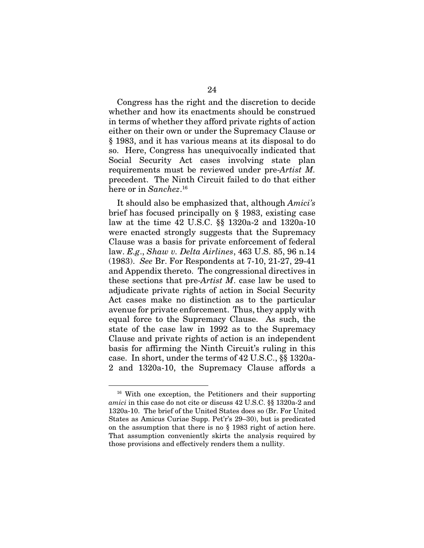Congress has the right and the discretion to decide whether and how its enactments should be construed in terms of whether they afford private rights of action either on their own or under the Supremacy Clause or § 1983, and it has various means at its disposal to do so. Here, Congress has unequivocally indicated that Social Security Act cases involving state plan requirements must be reviewed under pre-*Artist M.*  precedent. The Ninth Circuit failed to do that either here or in *Sanchez*. 16

It should also be emphasized that, although *Amici's* brief has focused principally on § 1983, existing case law at the time 42 U.S.C. §§ 1320a-2 and 1320a-10 were enacted strongly suggests that the Supremacy Clause was a basis for private enforcement of federal law. *E.g*., *Shaw v. Delta Airlines*, 463 U.S. 85, 96 n.14 (1983). *See* Br. For Respondents at 7-10, 21-27, 29-41 and Appendix thereto. The congressional directives in these sections that pre-*Artist M*. case law be used to adjudicate private rights of action in Social Security Act cases make no distinction as to the particular avenue for private enforcement. Thus, they apply with equal force to the Supremacy Clause. As such, the state of the case law in 1992 as to the Supremacy Clause and private rights of action is an independent basis for affirming the Ninth Circuit's ruling in this case. In short, under the terms of 42 U.S.C., §§ 1320a-2 and 1320a-10, the Supremacy Clause affords a

 <sup>16</sup> With one exception, the Petitioners and their supporting *amici* in this case do not cite or discuss 42 U.S.C. §§ 1320a-2 and 1320a-10. The brief of the United States does so (Br. For United States as Amicus Curiae Supp. Pet'r's 29–30), but is predicated on the assumption that there is no § 1983 right of action here. That assumption conveniently skirts the analysis required by those provisions and effectively renders them a nullity.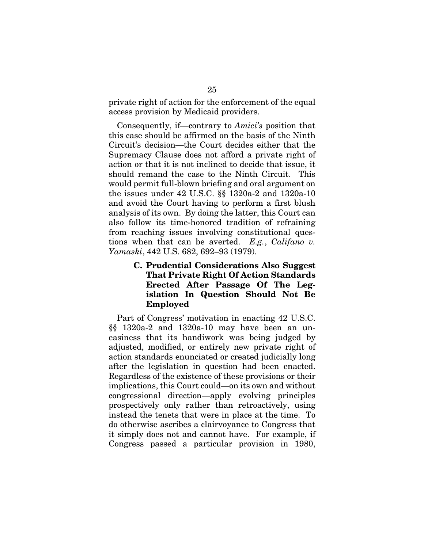private right of action for the enforcement of the equal access provision by Medicaid providers.

Consequently, if—contrary to *Amici's* position that this case should be affirmed on the basis of the Ninth Circuit's decision—the Court decides either that the Supremacy Clause does not afford a private right of action or that it is not inclined to decide that issue, it should remand the case to the Ninth Circuit. This would permit full-blown briefing and oral argument on the issues under 42 U.S.C. §§ 1320a-2 and 1320a-10 and avoid the Court having to perform a first blush analysis of its own. By doing the latter, this Court can also follow its time-honored tradition of refraining from reaching issues involving constitutional questions when that can be averted. *E.g.*, *Califano v. Yamaski*, 442 U.S. 682, 692–93 (1979).

### C. Prudential Considerations Also Suggest That Private Right Of Action Standards Erected After Passage Of The Legislation In Question Should Not Be Employed

Part of Congress' motivation in enacting 42 U.S.C. §§ 1320a-2 and 1320a-10 may have been an uneasiness that its handiwork was being judged by adjusted, modified, or entirely new private right of action standards enunciated or created judicially long after the legislation in question had been enacted. Regardless of the existence of these provisions or their implications, this Court could—on its own and without congressional direction—apply evolving principles prospectively only rather than retroactively, using instead the tenets that were in place at the time. To do otherwise ascribes a clairvoyance to Congress that it simply does not and cannot have. For example, if Congress passed a particular provision in 1980,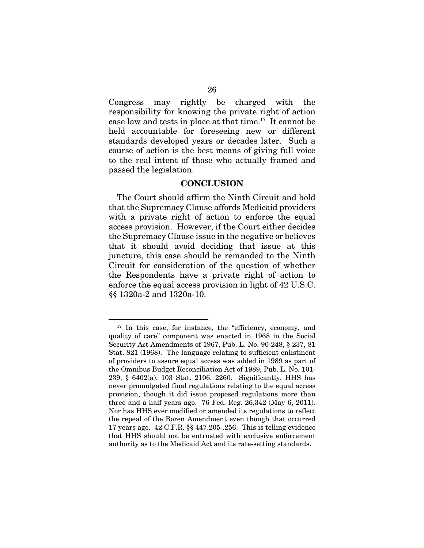Congress may rightly be charged with the responsibility for knowing the private right of action case law and tests in place at that time.17 It cannot be held accountable for foreseeing new or different standards developed years or decades later. Such a course of action is the best means of giving full voice to the real intent of those who actually framed and passed the legislation.

#### **CONCLUSION**

The Court should affirm the Ninth Circuit and hold that the Supremacy Clause affords Medicaid providers with a private right of action to enforce the equal access provision. However, if the Court either decides the Supremacy Clause issue in the negative or believes that it should avoid deciding that issue at this juncture, this case should be remanded to the Ninth Circuit for consideration of the question of whether the Respondents have a private right of action to enforce the equal access provision in light of 42 U.S.C. §§ 1320a-2 and 1320a-10.

<sup>&</sup>lt;sup>17</sup> In this case, for instance, the "efficiency, economy, and quality of care" component was enacted in 1968 in the Social Security Act Amendments of 1967, Pub. L. No. 90-248, § 237, 81 Stat. 821 (1968). The language relating to sufficient enlistment of providers to assure equal access was added in 1989 as part of the Omnibus Budget Reconciliation Act of 1989, Pub. L. No. 101- 239, § 6402(a), 103 Stat. 2106, 2260. Significantly, HHS has never promulgated final regulations relating to the equal access provision, though it did issue proposed regulations more than three and a half years ago. 76 Fed. Reg. 26,342 (May 6, 2011). Nor has HHS ever modified or amended its regulations to reflect the repeal of the Boren Amendment even though that occurred 17 years ago. 42 C.F.R. §§ 447.205-.256. This is telling evidence that HHS should not be entrusted with exclusive enforcement authority as to the Medicaid Act and its rate-setting standards.